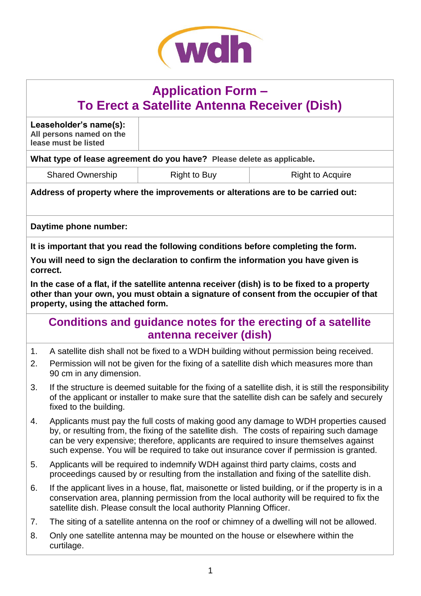

# **Application Form – To Erect a Satellite Antenna Receiver (Dish)**

**Leaseholder's name(s): All persons named on the lease must be listed**

**What type of lease agreement do you have? Please delete as applicable.**

Shared Ownership Right to Buy Right to Right to Acquire

**Address of property where the improvements or alterations are to be carried out:**

**Daytime phone number:**

**It is important that you read the following conditions before completing the form.**

**You will need to sign the declaration to confirm the information you have given is correct.**

**In the case of a flat, if the satellite antenna receiver (dish) is to be fixed to a property other than your own, you must obtain a signature of consent from the occupier of that property, using the attached form.**

### **Conditions and guidance notes for the erecting of a satellite antenna receiver (dish)**

- 1. A satellite dish shall not be fixed to a WDH building without permission being received.
- 2. Permission will not be given for the fixing of a satellite dish which measures more than 90 cm in any dimension.
- 3. If the structure is deemed suitable for the fixing of a satellite dish, it is still the responsibility of the applicant or installer to make sure that the satellite dish can be safely and securely fixed to the building.
- 4. Applicants must pay the full costs of making good any damage to WDH properties caused by, or resulting from, the fixing of the satellite dish. The costs of repairing such damage can be very expensive; therefore, applicants are required to insure themselves against such expense. You will be required to take out insurance cover if permission is granted.
- 5. Applicants will be required to indemnify WDH against third party claims, costs and proceedings caused by or resulting from the installation and fixing of the satellite dish.
- 6. If the applicant lives in a house, flat, maisonette or listed building, or if the property is in a conservation area, planning permission from the local authority will be required to fix the satellite dish. Please consult the local authority Planning Officer.
- 7. The siting of a satellite antenna on the roof or chimney of a dwelling will not be allowed.
- 8. Only one satellite antenna may be mounted on the house or elsewhere within the curtilage.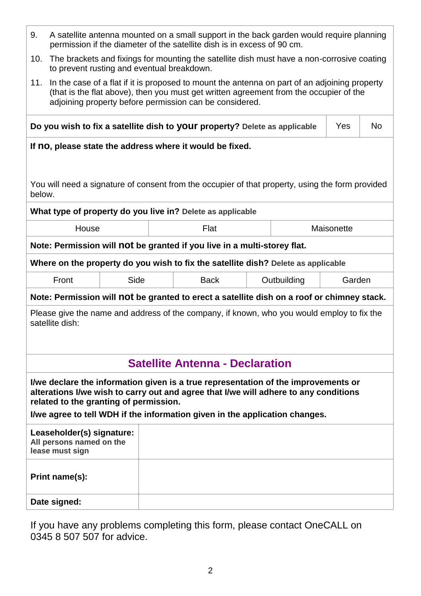| 9.<br>A satellite antenna mounted on a small support in the back garden would require planning<br>permission if the diameter of the satellite dish is in excess of 90 cm.                                                                                                                           |            |     |  |  |
|-----------------------------------------------------------------------------------------------------------------------------------------------------------------------------------------------------------------------------------------------------------------------------------------------------|------------|-----|--|--|
| The brackets and fixings for mounting the satellite dish must have a non-corrosive coating<br>10.<br>to prevent rusting and eventual breakdown.                                                                                                                                                     |            |     |  |  |
| In the case of a flat if it is proposed to mount the antenna on part of an adjoining property<br>11.<br>(that is the flat above), then you must get written agreement from the occupier of the<br>adjoining property before permission can be considered.                                           |            |     |  |  |
| Do you wish to fix a satellite dish to your property? Delete as applicable                                                                                                                                                                                                                          | Yes        | No. |  |  |
| If no, please state the address where it would be fixed.                                                                                                                                                                                                                                            |            |     |  |  |
| You will need a signature of consent from the occupier of that property, using the form provided<br>below.                                                                                                                                                                                          |            |     |  |  |
| What type of property do you live in? Delete as applicable                                                                                                                                                                                                                                          |            |     |  |  |
| Flat<br>House                                                                                                                                                                                                                                                                                       | Maisonette |     |  |  |
| Note: Permission will not be granted if you live in a multi-storey flat.                                                                                                                                                                                                                            |            |     |  |  |
| Where on the property do you wish to fix the satellite dish? Delete as applicable                                                                                                                                                                                                                   |            |     |  |  |
| Side<br>Front<br><b>Back</b><br>Outbuilding                                                                                                                                                                                                                                                         | Garden     |     |  |  |
| Note: Permission will not be granted to erect a satellite dish on a roof or chimney stack.                                                                                                                                                                                                          |            |     |  |  |
| Please give the name and address of the company, if known, who you would employ to fix the<br>satellite dish:                                                                                                                                                                                       |            |     |  |  |
| <b>Satellite Antenna - Declaration</b>                                                                                                                                                                                                                                                              |            |     |  |  |
| I/we declare the information given is a true representation of the improvements or<br>alterations I/we wish to carry out and agree that I/we will adhere to any conditions<br>related to the granting of permission.<br>I/we agree to tell WDH if the information given in the application changes. |            |     |  |  |
| Leaseholder(s) signature:<br>All persons named on the<br>lease must sign                                                                                                                                                                                                                            |            |     |  |  |
| Print name(s):                                                                                                                                                                                                                                                                                      |            |     |  |  |
|                                                                                                                                                                                                                                                                                                     |            |     |  |  |

If you have any problems completing this form, please contact OneCALL on 0345 8 507 507 for advice.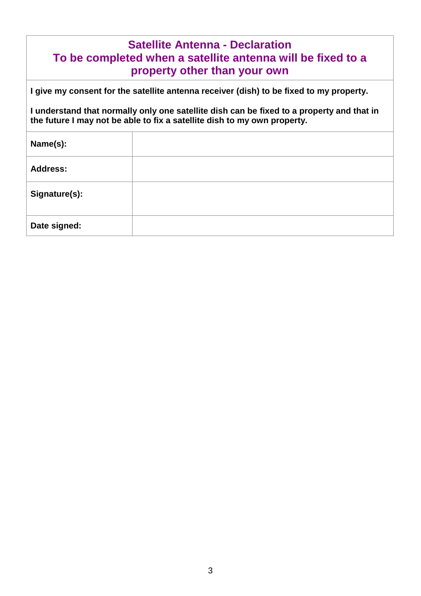| <b>Satellite Antenna - Declaration</b><br>To be completed when a satellite antenna will be fixed to a<br>property other than your own                                 |                                                                                         |  |  |
|-----------------------------------------------------------------------------------------------------------------------------------------------------------------------|-----------------------------------------------------------------------------------------|--|--|
|                                                                                                                                                                       | I give my consent for the satellite antenna receiver (dish) to be fixed to my property. |  |  |
| I understand that normally only one satellite dish can be fixed to a property and that in<br>the future I may not be able to fix a satellite dish to my own property. |                                                                                         |  |  |
| Name(s):                                                                                                                                                              |                                                                                         |  |  |
| Address:                                                                                                                                                              |                                                                                         |  |  |
| Signature(s):                                                                                                                                                         |                                                                                         |  |  |
| Date signed:                                                                                                                                                          |                                                                                         |  |  |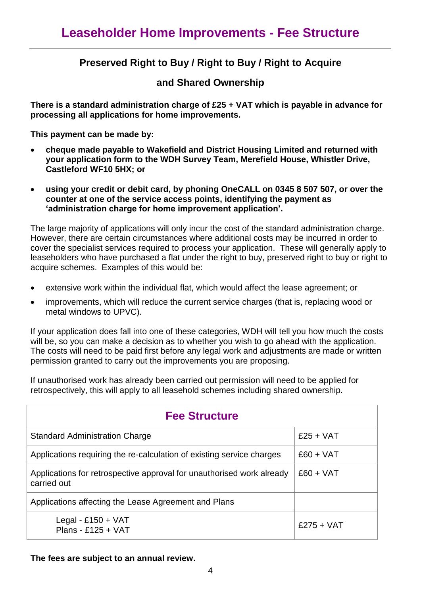### **Preserved Right to Buy / Right to Buy / Right to Acquire**

### **and Shared Ownership**

**There is a standard administration charge of £25 + VAT which is payable in advance for processing all applications for home improvements.** 

**This payment can be made by:** 

- **cheque made payable to Wakefield and District Housing Limited and returned with your application form to the WDH Survey Team, Merefield House, Whistler Drive, Castleford WF10 5HX; or**
- **using your credit or debit card, by phoning OneCALL on 0345 8 507 507, or over the counter at one of the service access points, identifying the payment as 'administration charge for home improvement application'.**

The large majority of applications will only incur the cost of the standard administration charge. However, there are certain circumstances where additional costs may be incurred in order to cover the specialist services required to process your application. These will generally apply to leaseholders who have purchased a flat under the right to buy, preserved right to buy or right to acquire schemes. Examples of this would be:

- extensive work within the individual flat, which would affect the lease agreement; or
- improvements, which will reduce the current service charges (that is, replacing wood or metal windows to UPVC).

If your application does fall into one of these categories, WDH will tell you how much the costs will be, so you can make a decision as to whether you wish to go ahead with the application. The costs will need to be paid first before any legal work and adjustments are made or written permission granted to carry out the improvements you are proposing.

If unauthorised work has already been carried out permission will need to be applied for retrospectively, this will apply to all leasehold schemes including shared ownership.

| <b>Fee Structure</b>                                                                 |              |  |
|--------------------------------------------------------------------------------------|--------------|--|
| <b>Standard Administration Charge</b>                                                | $£25 + VAT$  |  |
| Applications requiring the re-calculation of existing service charges                | $£60 + VAT$  |  |
| Applications for retrospective approval for unauthorised work already<br>carried out | $£60 + VAT$  |  |
| Applications affecting the Lease Agreement and Plans                                 |              |  |
| Legal - £150 + $VAT$<br>Plans - £125 + VAT                                           | $£275 + VAT$ |  |

#### **The fees are subject to an annual review.**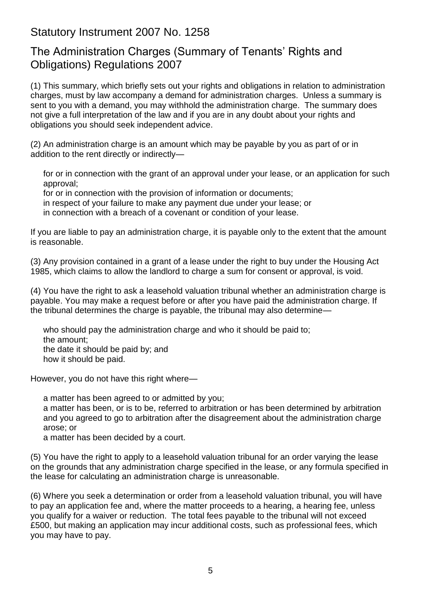### Statutory Instrument 2007 No. 1258

## The Administration Charges (Summary of Tenants' Rights and Obligations) Regulations 2007

(1) This summary, which briefly sets out your rights and obligations in relation to administration charges, must by law accompany a demand for administration charges. Unless a summary is sent to you with a demand, you may withhold the administration charge. The summary does not give a full interpretation of the law and if you are in any doubt about your rights and obligations you should seek independent advice.

(2) An administration charge is an amount which may be payable by you as part of or in addition to the rent directly or indirectly—

for or in connection with the grant of an approval under your lease, or an application for such approval;

for or in connection with the provision of information or documents;

in respect of your failure to make any payment due under your lease; or

in connection with a breach of a covenant or condition of your lease.

If you are liable to pay an administration charge, it is payable only to the extent that the amount is reasonable.

(3) Any provision contained in a grant of a lease under the right to buy under the Housing Act 1985, which claims to allow the landlord to charge a sum for consent or approval, is void.

(4) You have the right to ask a leasehold valuation tribunal whether an administration charge is payable. You may make a request before or after you have paid the administration charge. If the tribunal determines the charge is payable, the tribunal may also determine—

who should pay the administration charge and who it should be paid to; the amount; the date it should be paid by; and how it should be paid.

However, you do not have this right where—

a matter has been agreed to or admitted by you;

a matter has been, or is to be, referred to arbitration or has been determined by arbitration and you agreed to go to arbitration after the disagreement about the administration charge arose; or

a matter has been decided by a court.

(5) You have the right to apply to a leasehold valuation tribunal for an order varying the lease on the grounds that any administration charge specified in the lease, or any formula specified in the lease for calculating an administration charge is unreasonable.

(6) Where you seek a determination or order from a leasehold valuation tribunal, you will have to pay an application fee and, where the matter proceeds to a hearing, a hearing fee, unless you qualify for a waiver or reduction. The total fees payable to the tribunal will not exceed £500, but making an application may incur additional costs, such as professional fees, which you may have to pay.